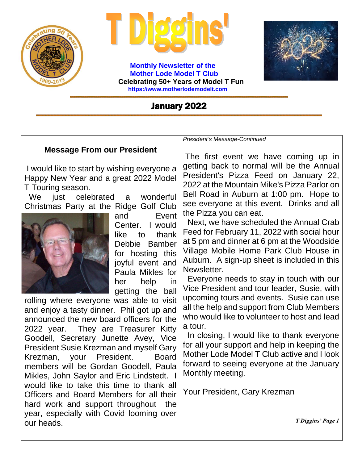

 **Monthly Newsletter of the Mother Lode Model T Club Celebrating 50+ Years of Model T Fun [https://www.motherlodemodelt.com](https://www.motherlodemodelt.com/)**



### January 2022

#### **Message From our President**

I would like to start by wishing everyone a Happy New Year and a great 2022 Model T Touring season.

We just celebrated a wonderful Christmas Party at the Ridge Golf Club



and Event Center. I would like to thank Debbie Bamber for hosting this joyful event and Paula Mikles for her help in getting the ball

rolling where everyone was able to visit and enjoy a tasty dinner. Phil got up and announced the new board officers for the 2022 year. They are Treasurer Kitty Goodell, Secretary Junette Avey, Vice President Susie Krezman and myself Gary Krezman, your President. Board members will be Gordan Goodell, Paula Mikles, John Saylor and Eric Lindstedt. I would like to take this time to thank all Officers and Board Members for all their hard work and support throughout the year, especially with Covid looming over our heads.

*President's Message-Continued*

The first event we have coming up in getting back to normal will be the Annual President's Pizza Feed on January 22, 2022 at the Mountain Mike's Pizza Parlor on Bell Road in Auburn at 1:00 pm. Hope to see everyone at this event. Drinks and all the Pizza you can eat.

 Next, we have scheduled the Annual Crab Feed for February 11, 2022 with social hour at 5 pm and dinner at 6 pm at the Woodside Village Mobile Home Park Club House in Auburn. A sign-up sheet is included in this Newsletter.

 Everyone needs to stay in touch with our Vice President and tour leader, Susie, with upcoming tours and events. Susie can use all the help and support from Club Members who would like to volunteer to host and lead a tour.

 In closing, I would like to thank everyone for all your support and help in keeping the Mother Lode Model T Club active and I look forward to seeing everyone at the January Monthly meeting.

Your President, Gary Krezman

 *T Diggins' Page 1*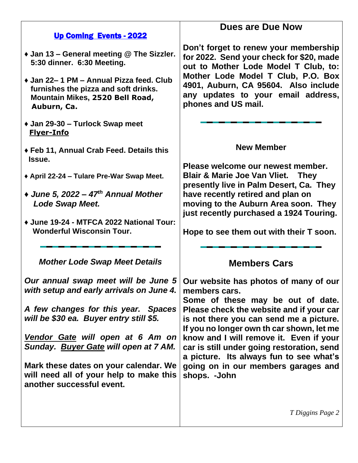|                                                                                                                                    | <b>Dues are Due Now</b>                                                                                                                                                                                                                                              |
|------------------------------------------------------------------------------------------------------------------------------------|----------------------------------------------------------------------------------------------------------------------------------------------------------------------------------------------------------------------------------------------------------------------|
| <b>Up Coming Events - 2022</b>                                                                                                     |                                                                                                                                                                                                                                                                      |
| ◆ Jan 13 – General meeting @ The Sizzler.<br>5:30 dinner. 6:30 Meeting.                                                            | Don't forget to renew your membership<br>for 2022. Send your check for \$20, made<br>out to Mother Lode Model T Club, to:<br>Mother Lode Model T Club, P.O. Box<br>4901, Auburn, CA 95604. Also include<br>any updates to your email address,<br>phones and US mail. |
| ◆ Jan 22– 1 PM – Annual Pizza feed. Club<br>furnishes the pizza and soft drinks.<br>Mountain Mikes, 2520 Bell Road,<br>Auburn, Ca. |                                                                                                                                                                                                                                                                      |
| ◆ Jan 29-30 – Turlock Swap meet<br><b>Flyer-Info</b>                                                                               |                                                                                                                                                                                                                                                                      |
| ◆ Feb 11, Annual Crab Feed. Details this<br>Issue.                                                                                 | <b>New Member</b>                                                                                                                                                                                                                                                    |
| ◆ April 22-24 – Tulare Pre-War Swap Meet.                                                                                          | Please welcome our newest member.<br><b>Blair &amp; Marie Joe Van Vliet. They</b><br>presently live in Palm Desert, Ca. They                                                                                                                                         |
| $\triangleleft$ June 5, 2022 – 47 <sup>th</sup> Annual Mother<br><b>Lode Swap Meet.</b>                                            | have recently retired and plan on<br>moving to the Auburn Area soon. They<br>just recently purchased a 1924 Touring.<br>Hope to see them out with their T soon.                                                                                                      |
| ◆ June 19-24 - MTFCA 2022 National Tour:<br><b>Wonderful Wisconsin Tour.</b>                                                       |                                                                                                                                                                                                                                                                      |
| <b>Mother Lode Swap Meet Details</b>                                                                                               | <b>Members Cars</b>                                                                                                                                                                                                                                                  |
| Our annual swap meet will be June 5<br>with setup and early arrivals on June 4.                                                    | Our website has photos of many of our<br>members cars.<br>Some of these may be out of date.                                                                                                                                                                          |
| A few changes for this year. Spaces<br>will be \$30 ea. Buyer entry still \$5.                                                     | Please check the website and if your car<br>is not there you can send me a picture.<br>If you no longer own th car shown, let me                                                                                                                                     |
| Vendor Gate will open at 6 Am on<br>Sunday. Buyer Gate will open at 7 AM.                                                          | know and I will remove it. Even if your<br>car is still under going restoration, send<br>a picture. Its always fun to see what's<br>going on in our members garages and<br>shops. -John                                                                              |
| Mark these dates on your calendar. We<br>will need all of your help to make this<br>another successful event.                      |                                                                                                                                                                                                                                                                      |
|                                                                                                                                    | T Diggins Page 2                                                                                                                                                                                                                                                     |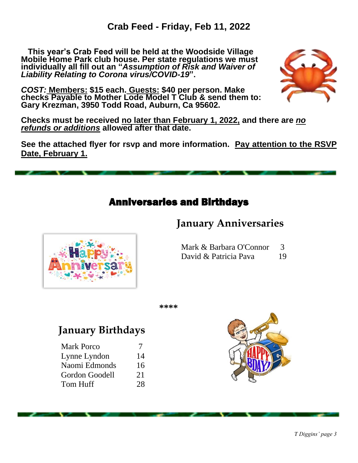**This year's Crab Feed will be held at the Woodside Village Mobile Home Park club house. Per state regulations we must individually all fill out an "***Assumption of Risk and Waiver of Liability Relating to Corona virus/COVID-19***".** 





**Checks must be received no later than February 1, 2022, and there are** *no refunds or additions* **allowed after that date.**

**See the attached flyer for rsvp and more information. Pay attention to the RSVP Date, February 1.** 



# **January Anniversaries**



Mark & Barbara O'Connor 3 David & Patricia Pava 19

**\*\*\*\***

# **January Birthdays**

| <b>Mark Porco</b> |    |
|-------------------|----|
| Lynne Lyndon      | 14 |
| Naomi Edmonds     | 16 |
| Gordon Goodell    | 21 |
| Tom Huff          | 28 |
|                   |    |

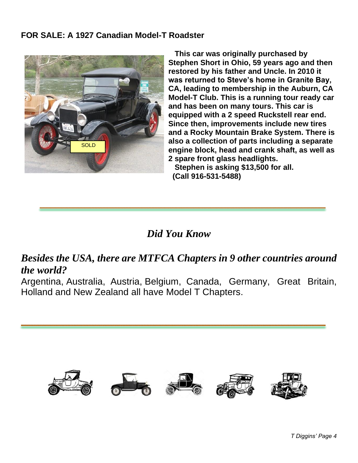#### **FOR SALE: A 1927 Canadian Model-T Roadster**



 **This car was originally purchased by Stephen Short in Ohio, 59 years ago and then restored by his father and Uncle. In 2010 it was returned to Steve's home in Granite Bay, CA, leading to membership in the Auburn, CA Model-T Club. This is a running tour ready car and has been on many tours. This car is equipped with a 2 speed Ruckstell rear end. Since then, improvements include new tires and a Rocky Mountain Brake System. There is also a collection of parts including a separate engine block, head and crank shaft, as well as 2 spare front glass headlights. Stephen is asking \$13,500 for all.** 

 **(Call 916-531-5488)**

*Did You Know*

## *Besides the USA, there are MTFCA Chapters in 9 other countries around the world?*

Argentina, [Australia,](https://www.mtfca.com/chapters/#al) Austria, [Belgium,](https://www.mtfca.com/chapters/#be) [Canada,](https://www.mtfca.com/chapters/#cd) Germany, Great Britain, Holland and New Zealand all have Model T Chapters.

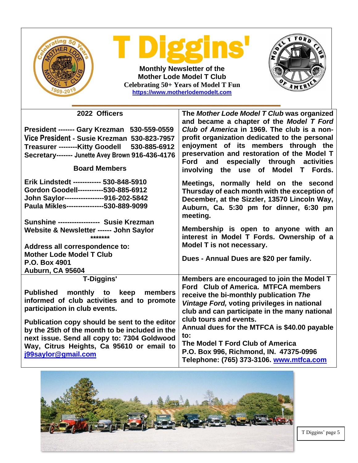| gin<br>$\bullet$<br><b>Monthly Newsletter of the</b><br><b>Mother Lode Model T Club</b><br>Celebrating 50+ Years of Model T Fun<br>https://www.motherlodemodelt.com                                                              |                                                                                                                                                                                                                                                                                                                               |  |
|----------------------------------------------------------------------------------------------------------------------------------------------------------------------------------------------------------------------------------|-------------------------------------------------------------------------------------------------------------------------------------------------------------------------------------------------------------------------------------------------------------------------------------------------------------------------------|--|
| 2022 Officers                                                                                                                                                                                                                    | The Mother Lode Model T Club was organized                                                                                                                                                                                                                                                                                    |  |
| President ------- Gary Krezman 530-559-0559<br>Vice President - Susie Krezman 530-823-7957<br>530-885-6912<br><b>Treasurer --------Kitty Goodell</b><br>Secretary------- Junette Avey Brown 916-436-4176<br><b>Board Members</b> | and became a chapter of the Model T Ford<br>Club of America in 1969. The club is a non-<br>profit organization dedicated to the personal<br>enjoyment of its members through the<br>preservation and restoration of the Model T<br>especially through activities<br><b>Ford</b><br>and<br>involving the use of Model T Fords. |  |
| Erik Lindstedt ------------ 530-848-5910<br>Gordon Goodell-----------530-885-6912<br>John Saylor-----------------916-202-5842<br>Paula Mikles----------------530-889-9099<br>Sunshine ----------------- Susie Krezman            | Meetings, normally held on the second<br>Thursday of each month with the exception of<br>December, at the Sizzler, 13570 Lincoln Way,<br>Auburn, Ca. 5:30 pm for dinner, 6:30 pm<br>meeting.                                                                                                                                  |  |
| Website & Newsletter ------ John Saylor<br>*******                                                                                                                                                                               | Membership is open to anyone with an<br>interest in Model T Fords. Ownership of a                                                                                                                                                                                                                                             |  |
| Address all correspondence to:<br><b>Mother Lode Model T Club</b><br>P.O. Box 4901<br><b>Auburn, CA 95604</b>                                                                                                                    | Model T is not necessary.<br>Dues - Annual Dues are \$20 per family.                                                                                                                                                                                                                                                          |  |
| <b>T-Diggins'</b>                                                                                                                                                                                                                | Members are encouraged to join the Model T                                                                                                                                                                                                                                                                                    |  |
| to keep<br><b>Published</b><br>monthly<br>members<br>informed of club activities and to promote<br>participation in club events.                                                                                                 | Ford Club of America. MTFCA members<br>receive the bi-monthly publication The<br>Vintage Ford, voting privileges in national<br>club and can participate in the many national                                                                                                                                                 |  |
| Publication copy should be sent to the editor<br>by the 25th of the month to be included in the<br>next issue. Send all copy to: 7304 Goldwood<br>Way, Citrus Heights, Ca 95610 or email to<br>j99saylor@gmail.com               | club tours and events.<br>Annual dues for the MTFCA is \$40.00 payable<br>to:<br>The Model T Ford Club of America<br>P.O. Box 996, Richmond, IN. 47375-0996<br>Telephone: (765) 373-3106. www.mtfca.com                                                                                                                       |  |



T Diggins' page 5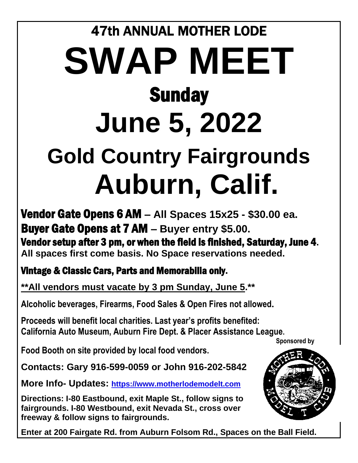# 47th ANNUAL MOTHER LODE **SWAP MEET Sunday June 5, 2022 Gold Country Fairgrounds Auburn, Calif.**

Vendor Gate Opens 6 AM **– All Spaces 15x25 - \$30.00 ea.**  Buyer Gate Opens at 7 AM **– Buyer entry \$5.00.** Vendor setup after 3 pm, or when the field is finished, Saturday, June 4**. All spaces first come basis. No Space reservations needed.**

Vintage & Classic Cars, Parts and Memorabilia only**.**

**\*\*All vendors must vacate by 3 pm Sunday, June 5.\*\***

**Alcoholic beverages, Firearms, Food Sales & Open Fires not allowed.** 

**Proceeds will benefit local charities. Last year's profits benefited: California Auto Museum, Auburn Fire Dept. & Placer Assistance League.**

 **Sponsored by** 

**Food Booth on site provided by local food vendors.** 

**Contacts: Gary 916-599-0059 or John 916-202-5842**

**More Info- Updates: [https://www.motherlodemodelt.com](https://www.motherlodemodelt.com/)**

**Directions: I-80 Eastbound, exit Maple St., follow signs to fairgrounds. I-80 Westbound, exit Nevada St., cross over freeway & follow signs to fairgrounds.**

**Enter at 200 Fairgate Rd. from Auburn Folsom Rd., Spaces on the Ball Field.**